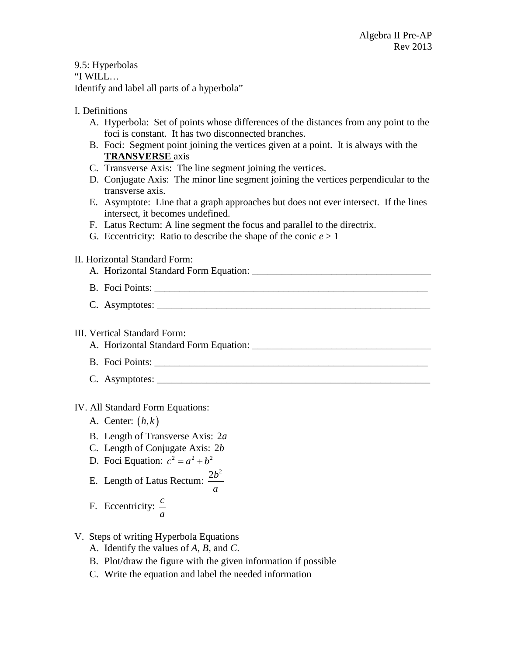9.5: Hyperbolas "I WILL… Identify and label all parts of a hyperbola"

## I. Definitions

- A. Hyperbola: Set of points whose differences of the distances from any point to the foci is constant. It has two disconnected branches.
- B. Foci: Segment point joining the vertices given at a point. It is always with the **TRANSVERSE** axis
- C. Transverse Axis: The line segment joining the vertices.
- D. Conjugate Axis: The minor line segment joining the vertices perpendicular to the transverse axis.
- E. Asymptote: Line that a graph approaches but does not ever intersect. If the lines intersect, it becomes undefined.
- F. Latus Rectum: A line segment the focus and parallel to the directrix.
- G. Eccentricity: Ratio to describe the shape of the conic  $e > 1$

## II. Horizontal Standard Form:

- A. Horizontal Standard Form Equation:
- B. Foci Points:
- C. Asymptotes:

## III. Vertical Standard Form:

A. Horizontal Standard Form Equation: \_\_\_\_\_\_\_\_\_\_\_\_\_\_\_\_\_\_\_\_\_\_\_\_\_\_\_\_\_\_\_\_\_\_\_\_

- B. Foci Points:
- C. Asymptotes:

## IV. All Standard Form Equations:

- A. Center: (*h k*, )
- B. Length of Transverse Axis: 2*a*
- C. Length of Conjugate Axis: 2*b*
- D. Foci Equation:  $c^2 = a^2 + b^2$
- E. Length of Latus Rectum:  $\frac{2b^2}{2}$ *a*
- F. Eccentricity: *c a*
- V. Steps of writing Hyperbola Equations
	- A. Identify the values of *A*, *B*, and *C*.
	- B. Plot/draw the figure with the given information if possible
	- C. Write the equation and label the needed information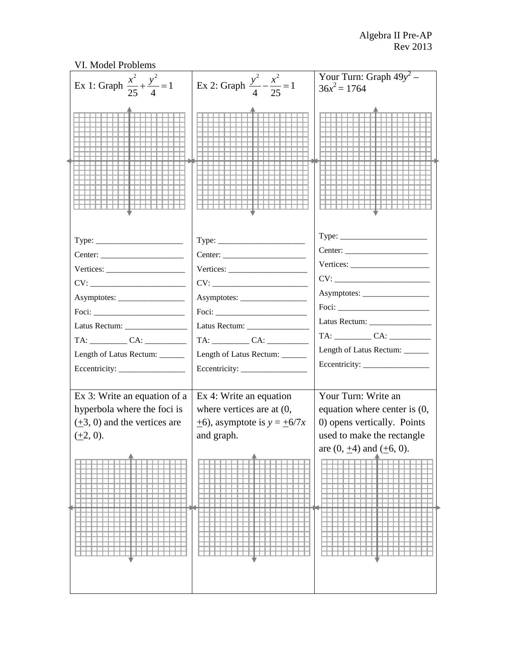